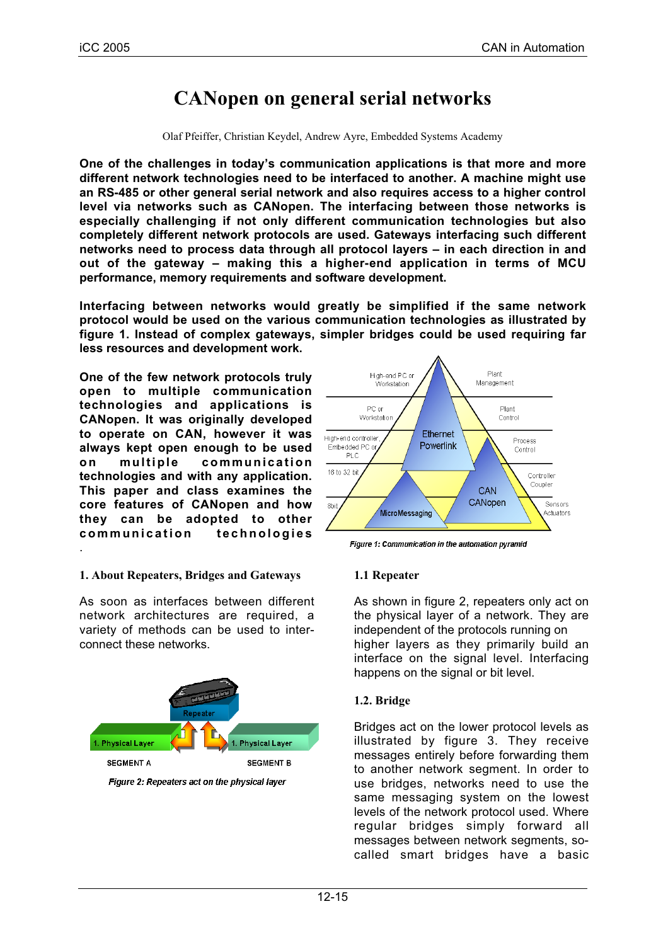# **CANopen on general serial networks**

Olaf Pfeiffer, Christian Keydel, Andrew Ayre, Embedded Systems Academy

**One of the challenges in today's communication applications is that more and more different network technologies need to be interfaced to another. A machine might use an RS-485 or other general serial network and also requires access to a higher control level via networks such as CANopen. The interfacing between those networks is especially challenging if not only different communication technologies but also completely different network protocols are used. Gateways interfacing such different networks need to process data through all protocol layers – in each direction in and out of the gateway – making this a higher-end application in terms of MCU performance, memory requirements and software development.**

**Interfacing between networks would greatly be simplified if the same network protocol would be used on the various communication technologies as illustrated by figure 1. Instead of complex gateways, simpler bridges could be used requiring far less resources and development work.**

**One of the few network protocols truly open to multiple communication technologies and applications is CANopen. It was originally developed to operate on CAN, however it was always kept open enough to be used on multiple communication technologies and with any application. This paper and class examines the core features of CANopen and how they can be adopted to other communication technologies** .

## **1. About Repeaters, Bridges and Gateways**

As soon as interfaces between different network architectures are required, a variety of methods can be used to interconnect these networks.



Figure 2: Repeaters act on the physical layer



Figure 1: Communication in the automation pyramid

## **1.1 Repeater**

As shown in figure 2, repeaters only act on the physical layer of a network. They are independent of the protocols running on higher layers as they primarily build an interface on the signal level. Interfacing happens on the signal or bit level.

## **1.2. Bridge**

Bridges act on the lower protocol levels as illustrated by figure 3. They receive messages entirely before forwarding them to another network segment. In order to use bridges, networks need to use the same messaging system on the lowest levels of the network protocol used. Where regular bridges simply forward all messages between network segments, socalled smart bridges have a basic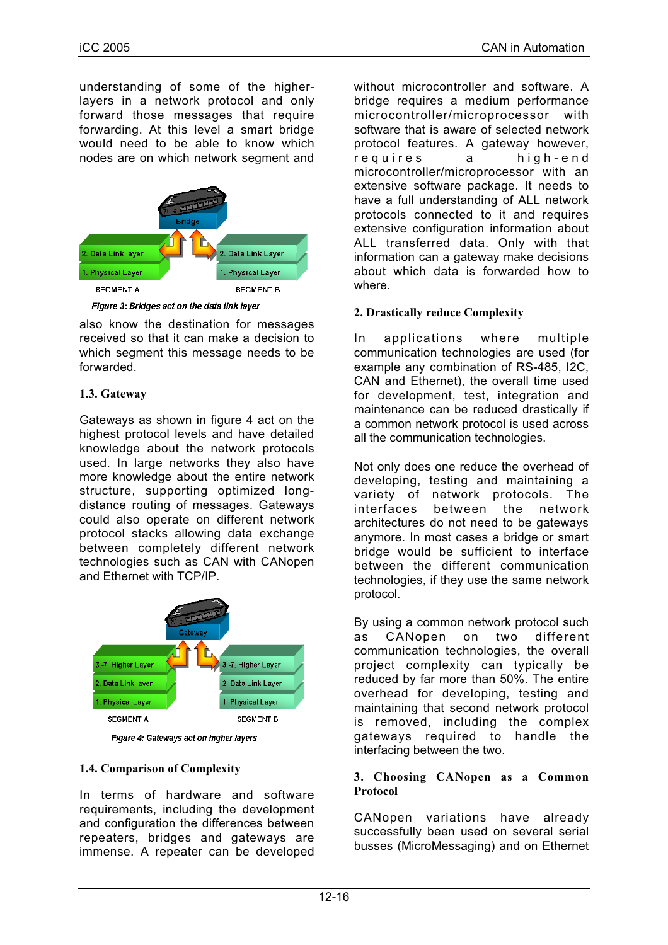understanding of some of the higherlayers in a network protocol and only forward those messages that require forwarding. At this level a smart bridge would need to be able to know which nodes are on which network segment and



Figure 3: Bridges act on the data link layer

also know the destination for messages received so that it can make a decision to which segment this message needs to be forwarded.

# **1.3. Gateway**

Gateways as shown in figure 4 act on the highest protocol levels and have detailed knowledge about the network protocols used. In large networks they also have more knowledge about the entire network structure, supporting optimized longdistance routing of messages. Gateways could also operate on different network protocol stacks allowing data exchange between completely different network technologies such as CAN with CANopen and Ethernet with TCP/IP.



Figure 4: Gateways act on higher layers

# **1.4. Comparison of Complexity**

In terms of hardware and software requirements, including the development and configuration the differences between repeaters, bridges and gateways are immense. A repeater can be developed without microcontroller and software. A bridge requires a medium performance microcontroller/microprocessor with software that is aware of selected network protocol features. A gateway however, requires a high-end microcontroller/microprocessor with an extensive software package. It needs to have a full understanding of ALL network protocols connected to it and requires extensive configuration information about ALL transferred data. Only with that information can a gateway make decisions about which data is forwarded how to where.

# **2. Drastically reduce Complexity**

In applications where multiple communication technologies are used (for example any combination of RS-485, I2C, CAN and Ethernet), the overall time used for development, test, integration and maintenance can be reduced drastically if a common network protocol is used across all the communication technologies.

Not only does one reduce the overhead of developing, testing and maintaining a variety of network protocols. The<br>interfaces between the network interfaces between the network architectures do not need to be gateways anymore. In most cases a bridge or smart bridge would be sufficient to interface between the different communication technologies, if they use the same network protocol.

By using a common network protocol such as CANopen on two different communication technologies, the overall project complexity can typically be reduced by far more than 50%. The entire overhead for developing, testing and maintaining that second network protocol is removed, including the complex gateways required to handle the interfacing between the two.

#### **3. Choosing CANopen as a Common Protocol**

CANopen variations have already successfully been used on several serial busses (MicroMessaging) and on Ethernet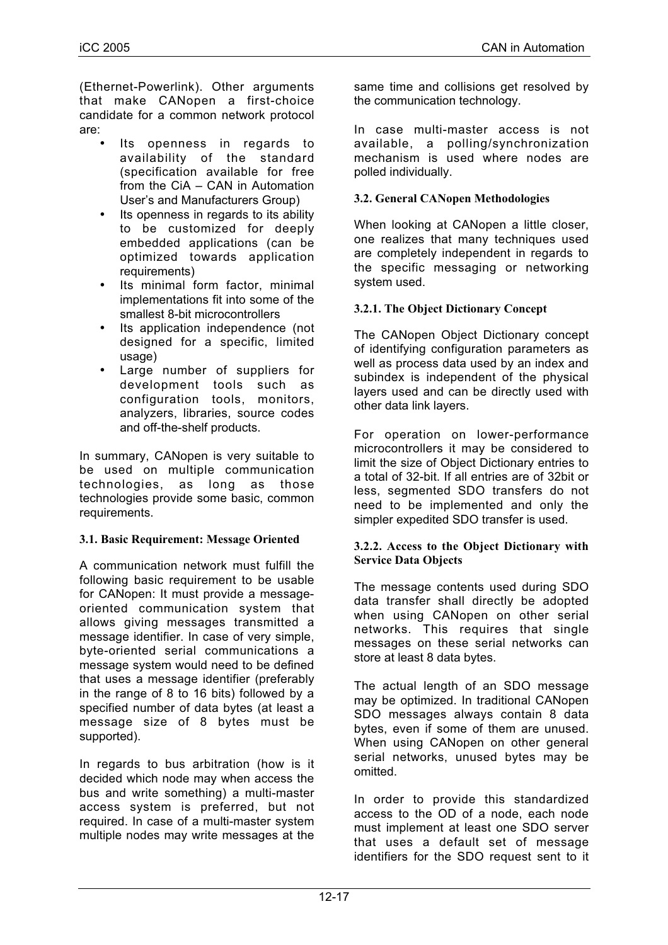(Ethernet-Powerlink). Other arguments that make CANopen a first-choice candidate for a common network protocol are:

- Its openness in regards to availability of the standard (specification available for free from the CiA – CAN in Automation User's and Manufacturers Group)
- Its openness in regards to its ability to be customized for deeply embedded applications (can be optimized towards application requirements)
- Its minimal form factor, minimal implementations fit into some of the smallest 8-bit microcontrollers
- Its application independence (not designed for a specific, limited usage)
- Large number of suppliers for development tools such as configuration tools, monitors, analyzers, libraries, source codes and off-the-shelf products.

In summary, CANopen is very suitable to be used on multiple communication technologies, as long as those technologies provide some basic, common requirements.

## **3.1. Basic Requirement: Message Oriented**

A communication network must fulfill the following basic requirement to be usable for CANopen: It must provide a messageoriented communication system that allows giving messages transmitted a message identifier. In case of very simple, byte-oriented serial communications a message system would need to be defined that uses a message identifier (preferably in the range of 8 to 16 bits) followed by a specified number of data bytes (at least a message size of 8 bytes must be supported).

In regards to bus arbitration (how is it decided which node may when access the bus and write something) a multi-master access system is preferred, but not required. In case of a multi-master system multiple nodes may write messages at the

same time and collisions get resolved by the communication technology.

In case multi-master access is not available, a polling/synchronization mechanism is used where nodes are polled individually.

#### **3.2. General CANopen Methodologies**

When looking at CANopen a little closer, one realizes that many techniques used are completely independent in regards to the specific messaging or networking system used.

## **3.2.1. The Object Dictionary Concept**

The CANopen Object Dictionary concept of identifying configuration parameters as well as process data used by an index and subindex is independent of the physical layers used and can be directly used with other data link layers.

For operation on lower-performance microcontrollers it may be considered to limit the size of Object Dictionary entries to a total of 32-bit. If all entries are of 32bit or less, segmented SDO transfers do not need to be implemented and only the simpler expedited SDO transfer is used.

#### **3.2.2. Access to the Object Dictionary with Service Data Objects**

The message contents used during SDO data transfer shall directly be adopted when using CANopen on other serial networks. This requires that single messages on these serial networks can store at least 8 data bytes.

The actual length of an SDO message may be optimized. In traditional CANopen SDO messages always contain 8 data bytes, even if some of them are unused. When using CANopen on other general serial networks, unused bytes may be omitted.

In order to provide this standardized access to the OD of a node, each node must implement at least one SDO server that uses a default set of message identifiers for the SDO request sent to it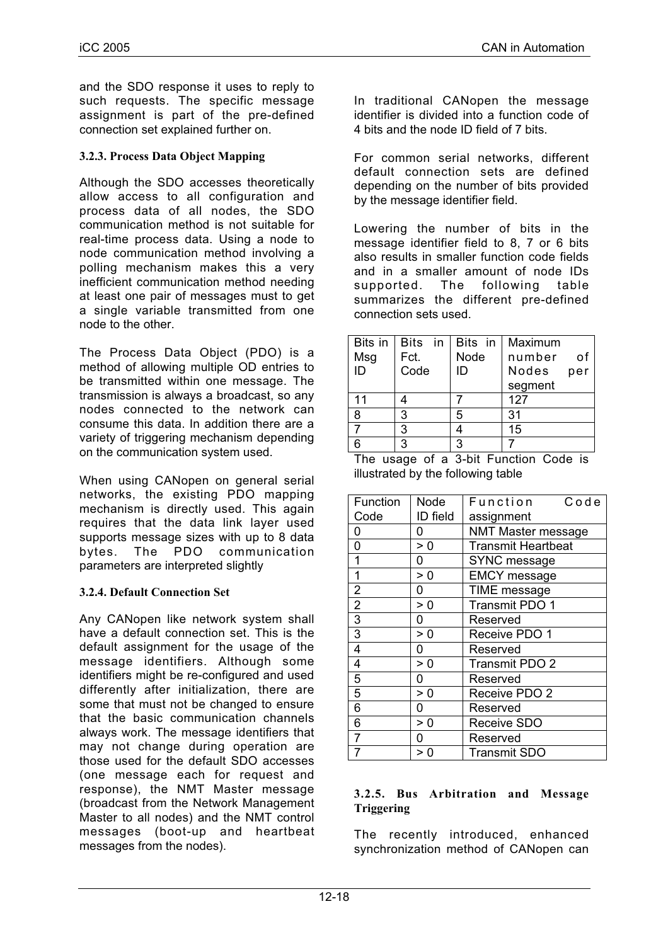and the SDO response it uses to reply to such requests. The specific message assignment is part of the pre-defined connection set explained further on.

#### **3.2.3. Process Data Object Mapping**

Although the SDO accesses theoretically allow access to all configuration and process data of all nodes, the SDO communication method is not suitable for real-time process data. Using a node to node communication method involving a polling mechanism makes this a very inefficient communication method needing at least one pair of messages must to get a single variable transmitted from one node to the other.

The Process Data Object (PDO) is a method of allowing multiple OD entries to be transmitted within one message. The transmission is always a broadcast, so any nodes connected to the network can consume this data. In addition there are a variety of triggering mechanism depending on the communication system used.

When using CANopen on general serial networks, the existing PDO mapping mechanism is directly used. This again requires that the data link layer used supports message sizes with up to 8 data bytes. The PDO communication parameters are interpreted slightly

#### **3.2.4. Default Connection Set**

Any CANopen like network system shall have a default connection set. This is the default assignment for the usage of the message identifiers. Although some identifiers might be re-configured and used differently after initialization, there are some that must not be changed to ensure that the basic communication channels always work. The message identifiers that may not change during operation are those used for the default SDO accesses (one message each for request and response), the NMT Master message (broadcast from the Network Management Master to all nodes) and the NMT control messages (boot-up and heartbeat messages from the nodes).

In traditional CANopen the message identifier is divided into a function code of 4 bits and the node ID field of 7 bits.

For common serial networks, different default connection sets are defined depending on the number of bits provided by the message identifier field.

Lowering the number of bits in the message identifier field to 8, 7 or 6 bits also results in smaller function code fields and in a smaller amount of node IDs supported. The following table summarizes the different pre-defined connection sets used.

| Bits in | Bits in | Bits in | Maximum      |
|---------|---------|---------|--------------|
| Msg     | Fct.    | Node    | number<br>οf |
| ID      | Code    | ID      | Nodes<br>per |
|         |         |         | segment      |
| 11      |         |         | 127          |
| 8       | 3       | 5       | 31           |
|         | 3       |         | 15           |
|         | 3       | ว       |              |

The usage of a 3-bit Function Code is illustrated by the following table

| Function       | Node     | Function<br>Code          |
|----------------|----------|---------------------------|
| Code           | ID field | assignment                |
| 0              | 0        | <b>NMT Master message</b> |
| 0              | > 0      | <b>Transmit Heartbeat</b> |
| $\overline{1}$ | 0        | SYNC message              |
| 1              | > 0      | <b>EMCY</b> message       |
| $\overline{2}$ | 0        | TIME message              |
| $\overline{2}$ | > 0      | Transmit PDO 1            |
| $\overline{3}$ | 0        | Reserved                  |
| $\overline{3}$ | > 0      | Receive PDO 1             |
| 4              | 0        | Reserved                  |
| 4              | > 0      | <b>Transmit PDO 2</b>     |
| 5              | 0        | Reserved                  |
| 5              | > 0      | Receive PDO 2             |
| 6              | 0        | Reserved                  |
| 6              | > 0      | <b>Receive SDO</b>        |
| $\overline{7}$ | 0        | Reserved                  |
|                |          | <b>Transmit SDO</b>       |

#### **3.2.5. Bus Arbitration and Message Triggering**

The recently introduced, enhanced synchronization method of CANopen can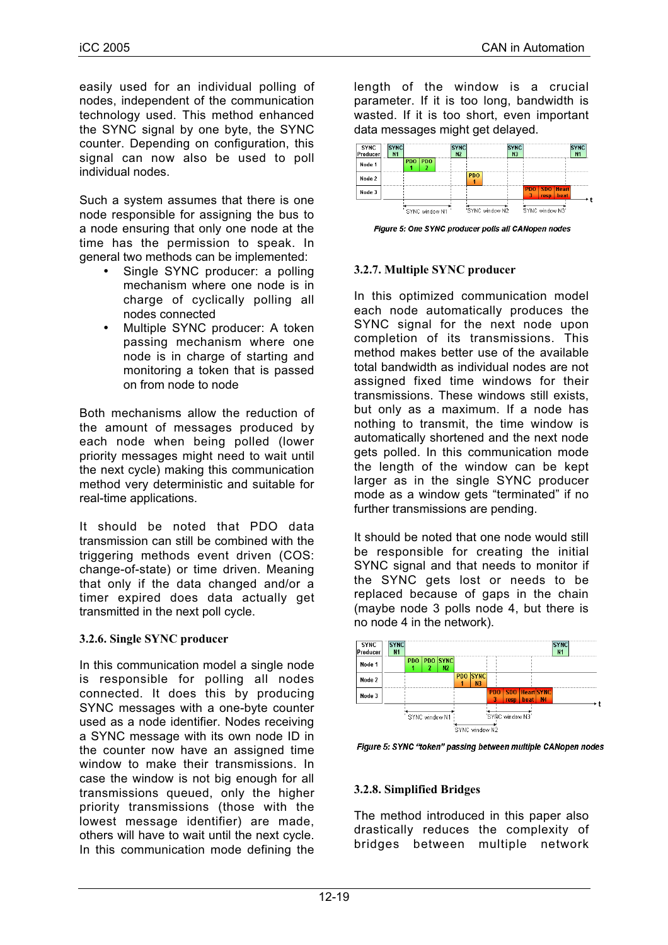easily used for an individual polling of nodes, independent of the communication technology used. This method enhanced the SYNC signal by one byte, the SYNC counter. Depending on configuration, this signal can now also be used to poll individual nodes.

Such a system assumes that there is one node responsible for assigning the bus to a node ensuring that only one node at the time has the permission to speak. In general two methods can be implemented:

- Single SYNC producer: a polling mechanism where one node is in charge of cyclically polling all nodes connected
- Multiple SYNC producer: A token passing mechanism where one node is in charge of starting and monitoring a token that is passed on from node to node

Both mechanisms allow the reduction of the amount of messages produced by each node when being polled (lower priority messages might need to wait until the next cycle) making this communication method very deterministic and suitable for real-time applications.

It should be noted that PDO data transmission can still be combined with the triggering methods event driven (COS: change-of-state) or time driven. Meaning that only if the data changed and/or a timer expired does data actually get transmitted in the next poll cycle.

## **3.2.6. Single SYNC producer**

In this communication model a single node is responsible for polling all nodes connected. It does this by producing SYNC messages with a one-byte counter used as a node identifier. Nodes receiving a SYNC message with its own node ID in the counter now have an assigned time window to make their transmissions. In case the window is not big enough for all transmissions queued, only the higher priority transmissions (those with the lowest message identifier) are made, others will have to wait until the next cycle. In this communication mode defining the

length of the window is a crucial parameter. If it is too long, bandwidth is wasted. If it is too short, even important data messages might get delayed.



Figure 5: One SYNC producer polls all CANopen nodes

#### **3.2.7. Multiple SYNC producer**

In this optimized communication model each node automatically produces the SYNC signal for the next node upon completion of its transmissions. This method makes better use of the available total bandwidth as individual nodes are not assigned fixed time windows for their transmissions. These windows still exists, but only as a maximum. If a node has nothing to transmit, the time window is automatically shortened and the next node gets polled. In this communication mode the length of the window can be kept larger as in the single SYNC producer mode as a window gets "terminated" if no further transmissions are pending.

It should be noted that one node would still be responsible for creating the initial SYNC signal and that needs to monitor if the SYNC gets lost or needs to be replaced because of gaps in the chain (maybe node 3 polls node 4, but there is no node 4 in the network).



Figure 5: SYNC "token" passing between multiple CANopen nodes

## **3.2.8. Simplified Bridges**

The method introduced in this paper also drastically reduces the complexity of bridges between multiple network